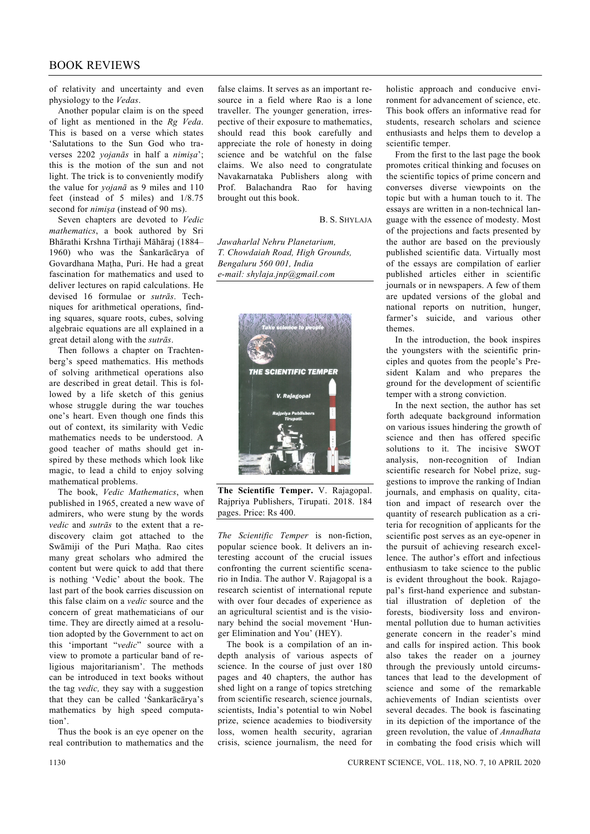of relativity and uncertainty and even physiology to the *Vedas*.

 Another popular claim is on the speed of light as mentioned in the *Rg Veda*. This is based on a verse which states 'Salutations to the Sun God who traverses 2202 *yojanās* in half a *nimișa*'; this is the motion of the sun and not light. The trick is to conveniently modify the value for *yojanā* as 9 miles and 110 feet (instead of 5 miles) and 1/8.75 second for *nimișa* (instead of 90 ms).

 Seven chapters are devoted to *Vedic mathematics*, a book authored by Sri Bhārathi Krshna Tirthaji Māhāraj (1884– 1960) who was the Śankarācārya of Govardhana Mațha, Puri. He had a great fascination for mathematics and used to deliver lectures on rapid calculations. He devised 16 formulae or *sutrās*. Techniques for arithmetical operations, finding squares, square roots, cubes, solving algebraic equations are all explained in a great detail along with the *sutrās*.

 Then follows a chapter on Trachtenberg's speed mathematics. His methods of solving arithmetical operations also are described in great detail. This is followed by a life sketch of this genius whose struggle during the war touches one's heart. Even though one finds this out of context, its similarity with Vedic mathematics needs to be understood. A good teacher of maths should get inspired by these methods which look like magic, to lead a child to enjoy solving mathematical problems.

 The book, *Vedic Mathematics*, when published in 1965, created a new wave of admirers, who were stung by the words *vedic* and *sutrās* to the extent that a rediscovery claim got attached to the Swāmiji of the Puri Mațha. Rao cites many great scholars who admired the content but were quick to add that there is nothing 'Vedic' about the book. The last part of the book carries discussion on this false claim on a *vedic* source and the concern of great mathematicians of our time. They are directly aimed at a resolution adopted by the Government to act on this 'important "*vedic*" source with a view to promote a particular band of religious majoritarianism'. The methods can be introduced in text books without the tag *vedic,* they say with a suggestion that they can be called 'Śankarācārya's mathematics by high speed computation'.

 Thus the book is an eye opener on the real contribution to mathematics and the

false claims. It serves as an important resource in a field where Rao is a lone traveller. The younger generation, irrespective of their exposure to mathematics, should read this book carefully and appreciate the role of honesty in doing science and be watchful on the false claims. We also need to congratulate Navakarnataka Publishers along with Prof. Balachandra Rao for having brought out this book.

B. S. SHYLAJA

*Jawaharlal Nehru Planetarium, T. Chowdaiah Road, High Grounds, Bengaluru 560 001, India e-mail: shylaja.jnp@gmail.com* 



**The Scientific Temper.** V. Rajagopal. Rajpriya Publishers, Tirupati. 2018. 184 pages. Price: Rs 400.

*The Scientific Temper* is non-fiction, popular science book. It delivers an interesting account of the crucial issues confronting the current scientific scenario in India. The author V. Rajagopal is a research scientist of international repute with over four decades of experience as an agricultural scientist and is the visionary behind the social movement 'Hunger Elimination and You' (HEY).

 The book is a compilation of an indepth analysis of various aspects of science. In the course of just over 180 pages and 40 chapters, the author has shed light on a range of topics stretching from scientific research, science journals, scientists, India's potential to win Nobel prize, science academies to biodiversity loss, women health security, agrarian crisis, science journalism, the need for

holistic approach and conducive environment for advancement of science, etc. This book offers an informative read for students, research scholars and science enthusiasts and helps them to develop a scientific temper.

 From the first to the last page the book promotes critical thinking and focuses on the scientific topics of prime concern and converses diverse viewpoints on the topic but with a human touch to it. The essays are written in a non-technical language with the essence of modesty. Most of the projections and facts presented by the author are based on the previously published scientific data. Virtually most of the essays are compilation of earlier published articles either in scientific journals or in newspapers. A few of them are updated versions of the global and national reports on nutrition, hunger, farmer's suicide, and various other themes.

 In the introduction, the book inspires the youngsters with the scientific principles and quotes from the people's President Kalam and who prepares the ground for the development of scientific temper with a strong conviction.

 In the next section, the author has set forth adequate background information on various issues hindering the growth of science and then has offered specific solutions to it. The incisive SWOT analysis, non-recognition of Indian scientific research for Nobel prize, suggestions to improve the ranking of Indian journals, and emphasis on quality, citation and impact of research over the quantity of research publication as a criteria for recognition of applicants for the scientific post serves as an eye-opener in the pursuit of achieving research excellence. The author's effort and infectious enthusiasm to take science to the public is evident throughout the book. Rajagopal's first-hand experience and substantial illustration of depletion of the forests, biodiversity loss and environmental pollution due to human activities generate concern in the reader's mind and calls for inspired action. This book also takes the reader on a journey through the previously untold circumstances that lead to the development of science and some of the remarkable achievements of Indian scientists over several decades. The book is fascinating in its depiction of the importance of the green revolution, the value of *Annadhata* in combating the food crisis which will